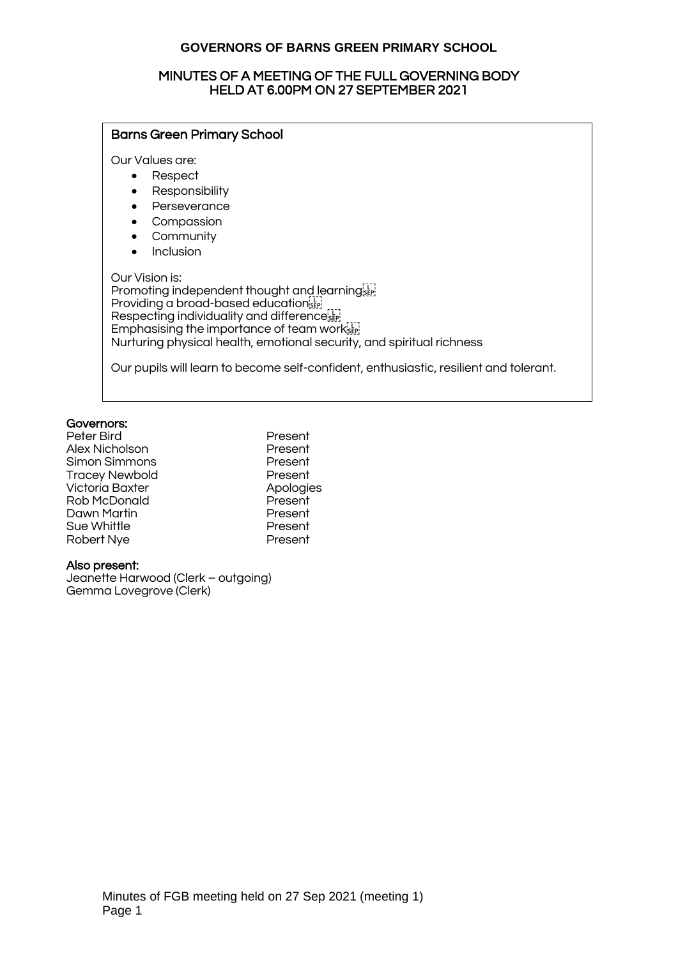### MINUTES OF A MEETING OF THE FULL GOVERNING BODY HELD AT 6.00PM ON 27 SEPTEMBER 2021

| <b>Barns Green Primary School</b>                                                                                                                                                                                                                                           |  |  |
|-----------------------------------------------------------------------------------------------------------------------------------------------------------------------------------------------------------------------------------------------------------------------------|--|--|
| Our Values are:<br>Respect<br>Responsibility<br>Perseverance<br>Compassion<br>Community<br>Inclusion                                                                                                                                                                        |  |  |
| Our Vision is:<br>Promoting independent thought and learningster<br>Providing a broad-based educations<br>Respecting individuality and differencessing<br>Emphasising the importance of team works<br>Nurturing physical health, emotional security, and spiritual richness |  |  |
| Our pupils will learn to become self-confident, enthusiastic, resilient and tolerant.                                                                                                                                                                                       |  |  |

#### Governors:

| Peter Bird             | Present  |
|------------------------|----------|
| Alex Nicholson         | Present  |
| Simon Simmons          | Present  |
| <b>Tracey Newbold</b>  | Present  |
| <b>Victoria Baxter</b> | Apologie |
| Rob McDonald           | Present  |
| Dawn Martin            | Present  |
| Sue Whittle            | Present  |
| Robert Nye             | Present  |
|                        |          |

Present Present Present Present Apologies Present Present Present

#### Also present:

Jeanette Harwood (Clerk – outgoing) Gemma Lovegrove (Clerk)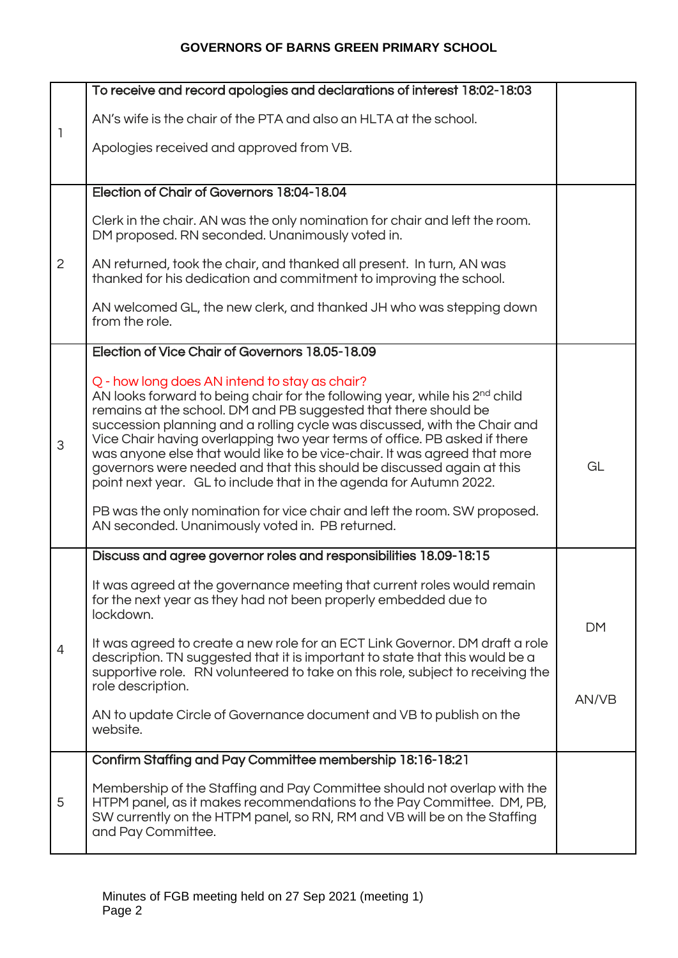|                | To receive and record apologies and declarations of interest 18:02-18:03                                                                                                                                                                                                                                                                                                                                                                                                                                                                                                                                                                                                                                                          |           |
|----------------|-----------------------------------------------------------------------------------------------------------------------------------------------------------------------------------------------------------------------------------------------------------------------------------------------------------------------------------------------------------------------------------------------------------------------------------------------------------------------------------------------------------------------------------------------------------------------------------------------------------------------------------------------------------------------------------------------------------------------------------|-----------|
|                | AN's wife is the chair of the PTA and also an HLTA at the school.                                                                                                                                                                                                                                                                                                                                                                                                                                                                                                                                                                                                                                                                 |           |
| $\mathbb{I}$   | Apologies received and approved from VB.                                                                                                                                                                                                                                                                                                                                                                                                                                                                                                                                                                                                                                                                                          |           |
|                |                                                                                                                                                                                                                                                                                                                                                                                                                                                                                                                                                                                                                                                                                                                                   |           |
|                | Election of Chair of Governors 18:04-18.04                                                                                                                                                                                                                                                                                                                                                                                                                                                                                                                                                                                                                                                                                        |           |
|                | Clerk in the chair. AN was the only nomination for chair and left the room.<br>DM proposed. RN seconded. Unanimously voted in.                                                                                                                                                                                                                                                                                                                                                                                                                                                                                                                                                                                                    |           |
| $\overline{2}$ | AN returned, took the chair, and thanked all present. In turn, AN was<br>thanked for his dedication and commitment to improving the school.                                                                                                                                                                                                                                                                                                                                                                                                                                                                                                                                                                                       |           |
|                | AN welcomed GL, the new clerk, and thanked JH who was stepping down<br>from the role.                                                                                                                                                                                                                                                                                                                                                                                                                                                                                                                                                                                                                                             |           |
|                | Election of Vice Chair of Governors 18.05-18.09                                                                                                                                                                                                                                                                                                                                                                                                                                                                                                                                                                                                                                                                                   |           |
| 3              | Q - how long does AN intend to stay as chair?<br>AN looks forward to being chair for the following year, while his 2 <sup>nd</sup> child<br>remains at the school. DM and PB suggested that there should be<br>succession planning and a rolling cycle was discussed, with the Chair and<br>Vice Chair having overlapping two year terms of office. PB asked if there<br>was anyone else that would like to be vice-chair. It was agreed that more<br>governors were needed and that this should be discussed again at this<br>point next year. GL to include that in the agenda for Autumn 2022.<br>PB was the only nomination for vice chair and left the room. SW proposed.<br>AN seconded. Unanimously voted in. PB returned. | GL        |
|                | Discuss and agree governor roles and responsibilities 18.09-18:15                                                                                                                                                                                                                                                                                                                                                                                                                                                                                                                                                                                                                                                                 |           |
|                | It was agreed at the governance meeting that current roles would remain<br>for the next year as they had not been properly embedded due to<br>lockdown.                                                                                                                                                                                                                                                                                                                                                                                                                                                                                                                                                                           |           |
| $\overline{4}$ | It was agreed to create a new role for an ECT Link Governor. DM draft a role<br>description. TN suggested that it is important to state that this would be a<br>supportive role. RN volunteered to take on this role, subject to receiving the<br>role description.                                                                                                                                                                                                                                                                                                                                                                                                                                                               | <b>DM</b> |
|                | AN to update Circle of Governance document and VB to publish on the<br>website.                                                                                                                                                                                                                                                                                                                                                                                                                                                                                                                                                                                                                                                   | AN/VB     |
|                | Confirm Staffing and Pay Committee membership 18:16-18:21                                                                                                                                                                                                                                                                                                                                                                                                                                                                                                                                                                                                                                                                         |           |
| 5              | Membership of the Staffing and Pay Committee should not overlap with the<br>HTPM panel, as it makes recommendations to the Pay Committee. DM, PB,<br>SW currently on the HTPM panel, so RN, RM and VB will be on the Staffing<br>and Pay Committee.                                                                                                                                                                                                                                                                                                                                                                                                                                                                               |           |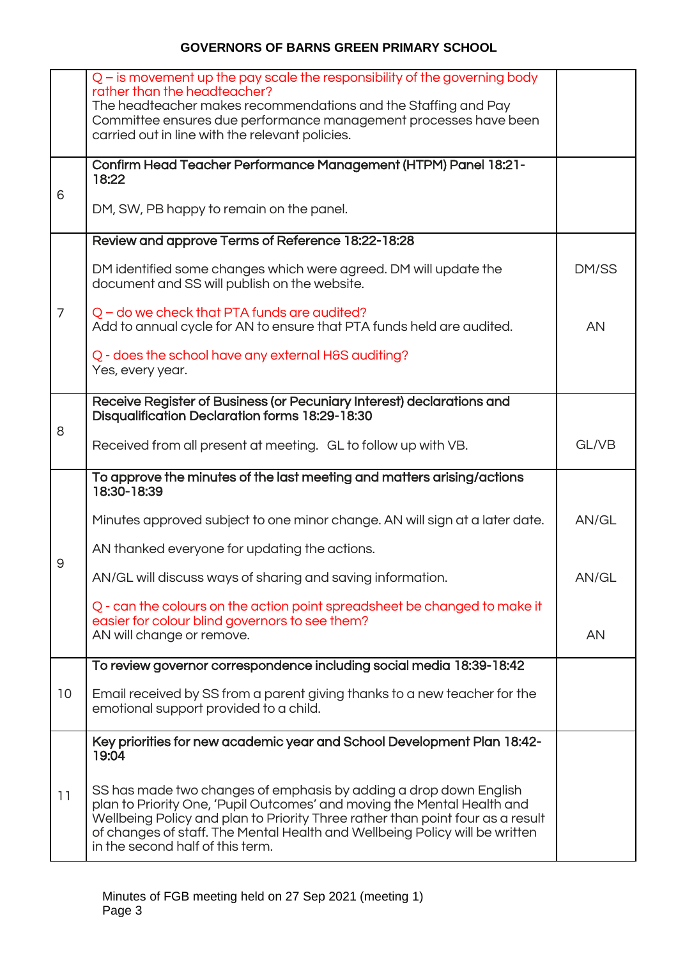|                | Q – is movement up the pay scale the responsibility of the governing body<br>rather than the headteacher?<br>The headteacher makes recommendations and the Staffing and Pay<br>Committee ensures due performance management processes have been<br>carried out in line with the relevant policies.                                                |           |
|----------------|---------------------------------------------------------------------------------------------------------------------------------------------------------------------------------------------------------------------------------------------------------------------------------------------------------------------------------------------------|-----------|
| 6              | Confirm Head Teacher Performance Management (HTPM) Panel 18:21-<br>18:22<br>DM, SW, PB happy to remain on the panel.                                                                                                                                                                                                                              |           |
|                | Review and approve Terms of Reference 18:22-18:28                                                                                                                                                                                                                                                                                                 |           |
|                | DM identified some changes which were agreed. DM will update the<br>document and SS will publish on the website.                                                                                                                                                                                                                                  | DM/SS     |
| $\overline{7}$ | $Q$ – do we check that PTA funds are audited?<br>Add to annual cycle for AN to ensure that PTA funds held are audited.                                                                                                                                                                                                                            | AN        |
|                | Q - does the school have any external H&S auditing?<br>Yes, every year.                                                                                                                                                                                                                                                                           |           |
| 8              | Receive Register of Business (or Pecuniary Interest) declarations and<br>Disqualification Declaration forms 18:29-18:30                                                                                                                                                                                                                           |           |
|                | Received from all present at meeting. GL to follow up with VB.                                                                                                                                                                                                                                                                                    | GL/VB     |
|                | To approve the minutes of the last meeting and matters arising/actions<br>18:30-18:39                                                                                                                                                                                                                                                             |           |
|                | Minutes approved subject to one minor change. AN will sign at a later date.                                                                                                                                                                                                                                                                       | AN/GL     |
| 9              | AN thanked everyone for updating the actions.                                                                                                                                                                                                                                                                                                     |           |
|                | AN/GL will discuss ways of sharing and saving information.                                                                                                                                                                                                                                                                                        | AN/GL     |
|                | Q - can the colours on the action point spreadsheet be changed to make it<br>easier for colour blind governors to see them?<br>AN will change or remove.                                                                                                                                                                                          | <b>AN</b> |
|                | To review governor correspondence including social media 18:39-18:42                                                                                                                                                                                                                                                                              |           |
| 10             | Email received by SS from a parent giving thanks to a new teacher for the<br>emotional support provided to a child.                                                                                                                                                                                                                               |           |
|                | Key priorities for new academic year and School Development Plan 18:42-<br>19:04                                                                                                                                                                                                                                                                  |           |
| 11             | SS has made two changes of emphasis by adding a drop down English<br>plan to Priority One, 'Pupil Outcomes' and moving the Mental Health and<br>Wellbeing Policy and plan to Priority Three rather than point four as a result<br>of changes of staff. The Mental Health and Wellbeing Policy will be written<br>in the second half of this term. |           |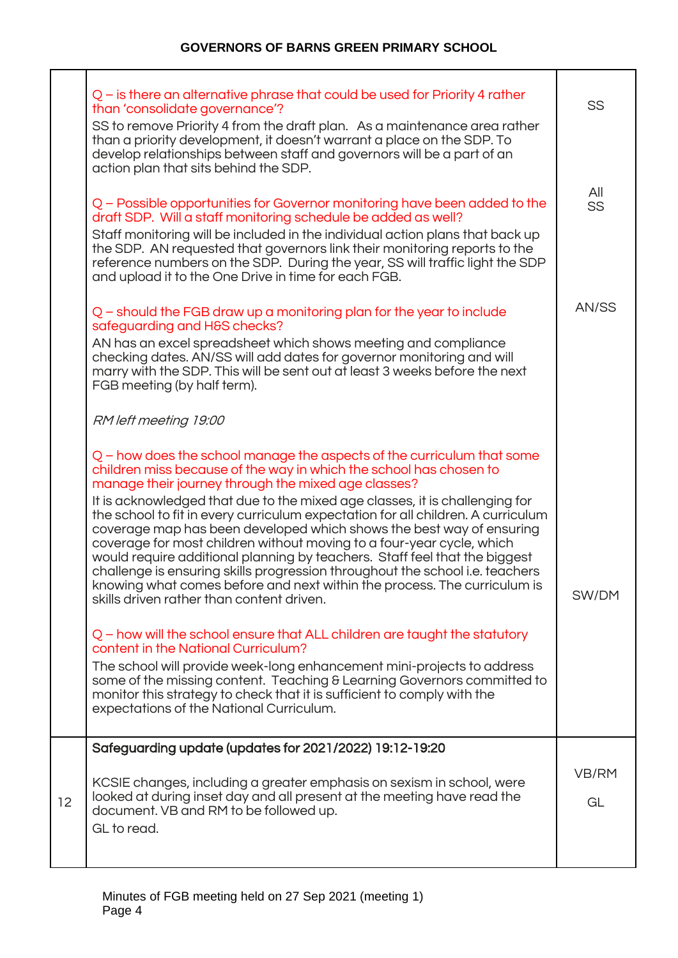|    | $Q$ – is there an alternative phrase that could be used for Priority 4 rather<br>than 'consolidate governance'?<br>SS to remove Priority 4 from the draft plan. As a maintenance area rather<br>than a priority development, it doesn't warrant a place on the SDP. To<br>develop relationships between staff and governors will be a part of an<br>action plan that sits behind the SDP.                                                                                                                                                                                                                                                                                                             | SS                 |
|----|-------------------------------------------------------------------------------------------------------------------------------------------------------------------------------------------------------------------------------------------------------------------------------------------------------------------------------------------------------------------------------------------------------------------------------------------------------------------------------------------------------------------------------------------------------------------------------------------------------------------------------------------------------------------------------------------------------|--------------------|
|    | Q – Possible opportunities for Governor monitoring have been added to the<br>draft SDP. Will a staff monitoring schedule be added as well?<br>Staff monitoring will be included in the individual action plans that back up<br>the SDP. AN requested that governors link their monitoring reports to the<br>reference numbers on the SDP. During the year, SS will traffic light the SDP<br>and upload it to the One Drive in time for each FGB.<br>$Q$ – should the FGB draw up a monitoring plan for the year to include<br>safeguarding and H&S checks?<br>AN has an excel spreadsheet which shows meeting and compliance<br>checking dates. AN/SS will add dates for governor monitoring and will | All<br>SS<br>AN/SS |
|    | marry with the SDP. This will be sent out at least 3 weeks before the next<br>FGB meeting (by half term).<br>RM left meeting 19:00<br>Q - how does the school manage the aspects of the curriculum that some<br>children miss because of the way in which the school has chosen to<br>manage their journey through the mixed age classes?<br>It is acknowledged that due to the mixed age classes, it is challenging for<br>the school to fit in every curriculum expectation for all children. A curriculum<br>coverage map has been developed which shows the best way of ensuring<br>coverage for most children without moving to a four-year cycle, which                                         |                    |
|    | would require additional planning by teachers. Staff feel that the biggest<br>challenge is ensuring skills progression throughout the school i.e. teachers<br>knowing what comes before and next within the process. The curriculum is<br>skills driven rather than content driven.<br>Q - how will the school ensure that ALL children are taught the statutory<br>content in the National Curriculum?<br>The school will provide week-long enhancement mini-projects to address<br>some of the missing content. Teaching & Learning Governors committed to<br>monitor this strategy to check that it is sufficient to comply with the<br>expectations of the National Curriculum.                   | SW/DM              |
| 12 | Safeguarding update (updates for 2021/2022) 19:12-19:20<br>KCSIE changes, including a greater emphasis on sexism in school, were<br>looked at during inset day and all present at the meeting have read the<br>document. VB and RM to be followed up.<br>GL to read.                                                                                                                                                                                                                                                                                                                                                                                                                                  | VB/RM<br>GL        |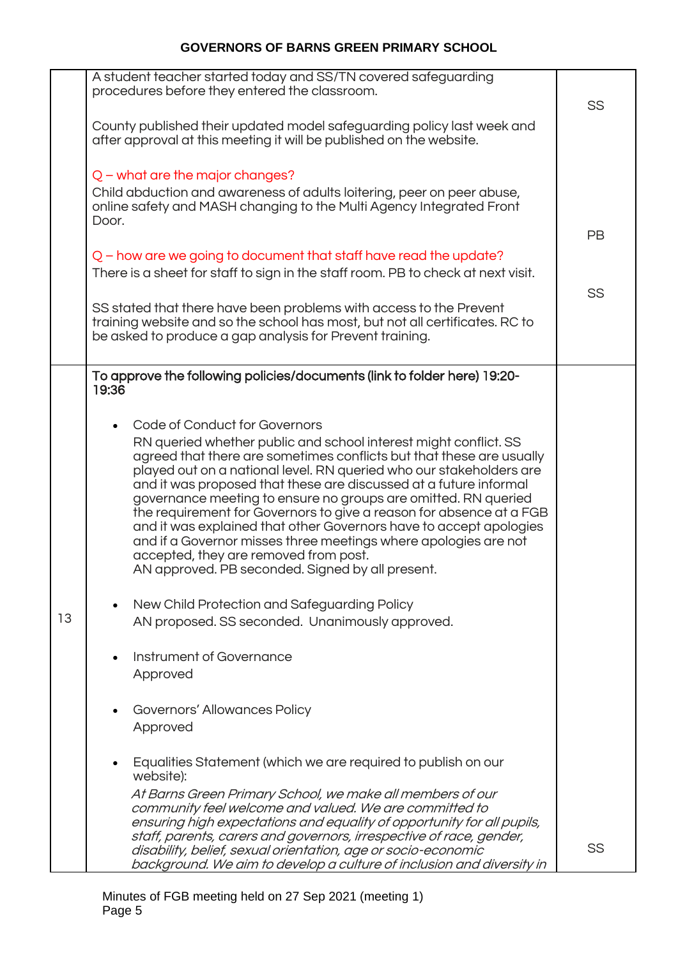|    | A student teacher started today and SS/TN covered safeguarding<br>procedures before they entered the classroom.                                                                                                | SS        |
|----|----------------------------------------------------------------------------------------------------------------------------------------------------------------------------------------------------------------|-----------|
|    | County published their updated model safeguarding policy last week and<br>after approval at this meeting it will be published on the website.                                                                  |           |
|    | $Q$ – what are the major changes?                                                                                                                                                                              |           |
|    | Child abduction and awareness of adults loitering, peer on peer abuse,<br>online safety and MASH changing to the Multi Agency Integrated Front<br>Door.                                                        |           |
|    |                                                                                                                                                                                                                | <b>PB</b> |
|    | Q – how are we going to document that staff have read the update?<br>There is a sheet for staff to sign in the staff room. PB to check at next visit.                                                          |           |
|    |                                                                                                                                                                                                                | SS        |
|    | SS stated that there have been problems with access to the Prevent<br>training website and so the school has most, but not all certificates. RC to<br>be asked to produce a gap analysis for Prevent training. |           |
|    | To approve the following policies/documents (link to folder here) 19:20-<br>19:36                                                                                                                              |           |
|    |                                                                                                                                                                                                                |           |
|    | Code of Conduct for Governors<br>$\bullet$<br>RN queried whether public and school interest might conflict. SS                                                                                                 |           |
|    | agreed that there are sometimes conflicts but that these are usually<br>played out on a national level. RN queried who our stakeholders are                                                                    |           |
|    | and it was proposed that these are discussed at a future informal<br>governance meeting to ensure no groups are omitted. RN queried                                                                            |           |
|    | the requirement for Governors to give a reason for absence at a FGB<br>and it was explained that other Governors have to accept apologies                                                                      |           |
|    | and if a Governor misses three meetings where apologies are not<br>accepted, they are removed from post.                                                                                                       |           |
|    | AN approved. PB seconded. Signed by all present.                                                                                                                                                               |           |
|    | New Child Protection and Safeguarding Policy<br>$\bullet$                                                                                                                                                      |           |
| 13 | AN proposed. SS seconded. Unanimously approved.                                                                                                                                                                |           |
|    | Instrument of Governance                                                                                                                                                                                       |           |
|    | Approved                                                                                                                                                                                                       |           |
|    | Governors' Allowances Policy                                                                                                                                                                                   |           |
|    | Approved                                                                                                                                                                                                       |           |
|    | Equalities Statement (which we are required to publish on our<br>$\bullet$<br>website):                                                                                                                        |           |
|    | At Barns Green Primary School, we make all members of our<br>community feel welcome and valued. We are committed to                                                                                            |           |
|    | ensuring high expectations and equality of opportunity for all pupils,                                                                                                                                         |           |
|    | staff, parents, carers and governors, irrespective of race, gender,<br>disability, belief, sexual orientation, age or socio-economic                                                                           | SS        |
|    | background. We aim to develop a culture of inclusion and diversity in                                                                                                                                          |           |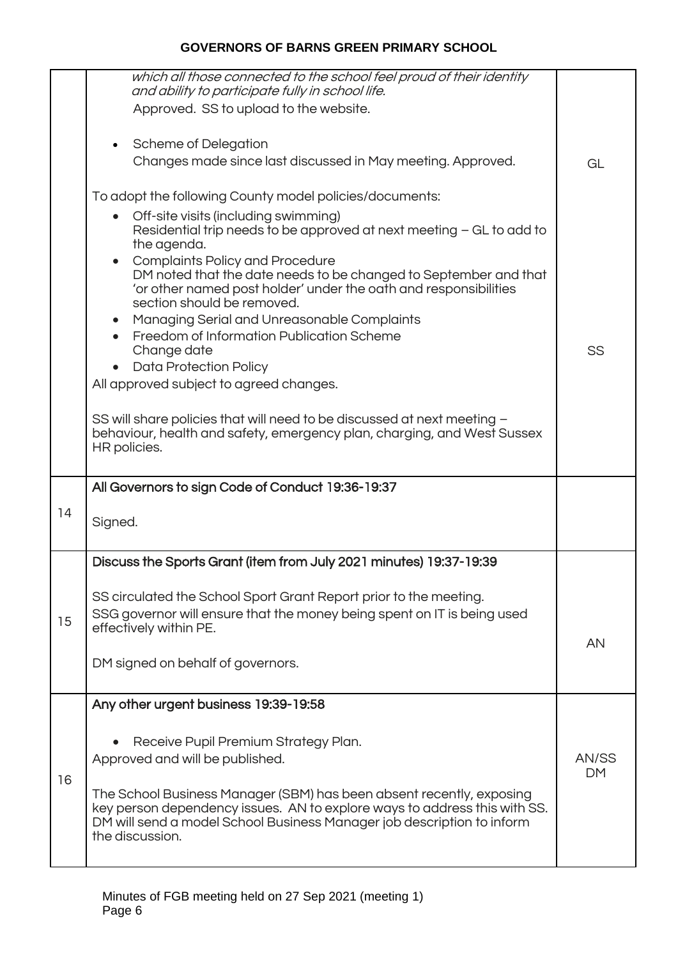|    |    | which all those connected to the school feel proud of their identity<br>and ability to participate fully in school life.                                                                                                                       |                    |
|----|----|------------------------------------------------------------------------------------------------------------------------------------------------------------------------------------------------------------------------------------------------|--------------------|
|    |    | Approved. SS to upload to the website.                                                                                                                                                                                                         |                    |
|    |    |                                                                                                                                                                                                                                                |                    |
|    |    | <b>Scheme of Delegation</b><br>$\bullet$<br>Changes made since last discussed in May meeting. Approved.                                                                                                                                        | GL                 |
|    |    |                                                                                                                                                                                                                                                |                    |
|    |    | To adopt the following County model policies/documents:                                                                                                                                                                                        |                    |
|    |    | Off-site visits (including swimming)<br>$\bullet$<br>Residential trip needs to be approved at next meeting - GL to add to<br>the agenda.                                                                                                       |                    |
|    |    | <b>Complaints Policy and Procedure</b><br>DM noted that the date needs to be changed to September and that<br>'or other named post holder' under the oath and responsibilities<br>section should be removed.                                   |                    |
|    |    | Managing Serial and Unreasonable Complaints<br><b>Freedom of Information Publication Scheme</b>                                                                                                                                                |                    |
|    |    | Change date                                                                                                                                                                                                                                    | SS                 |
|    |    | <b>Data Protection Policy</b><br>$\bullet$                                                                                                                                                                                                     |                    |
|    |    | All approved subject to agreed changes.                                                                                                                                                                                                        |                    |
|    |    | SS will share policies that will need to be discussed at next meeting -<br>behaviour, health and safety, emergency plan, charging, and West Sussex<br>HR policies.                                                                             |                    |
|    |    | All Governors to sign Code of Conduct 19:36-19:37                                                                                                                                                                                              |                    |
|    | 14 | Signed.                                                                                                                                                                                                                                        |                    |
|    |    | Discuss the Sports Grant (item from July 2021 minutes) 19:37-19:39                                                                                                                                                                             |                    |
|    | 15 | SS circulated the School Sport Grant Report prior to the meeting.<br>SSG governor will ensure that the money being spent on IT is being used                                                                                                   |                    |
|    |    | effectively within PE.                                                                                                                                                                                                                         | AN                 |
|    |    | DM signed on behalf of governors.                                                                                                                                                                                                              |                    |
|    |    | Any other urgent business 19:39-19:58                                                                                                                                                                                                          |                    |
| 16 |    | Receive Pupil Premium Strategy Plan.<br>Approved and will be published.                                                                                                                                                                        | AN/SS<br><b>DM</b> |
|    |    | The School Business Manager (SBM) has been absent recently, exposing<br>key person dependency issues. AN to explore ways to address this with SS.<br>DM will send a model School Business Manager job description to inform<br>the discussion. |                    |
|    |    |                                                                                                                                                                                                                                                |                    |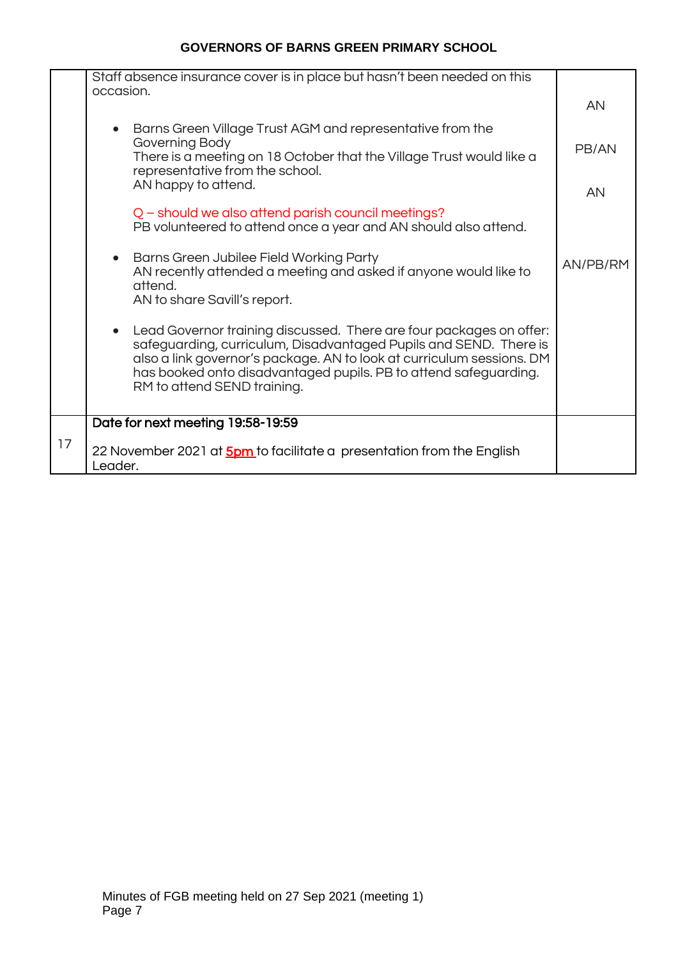|    | Staff absence insurance cover is in place but hasn't been needed on this<br>occasion.                                                                                                                                                                                                                                |          |
|----|----------------------------------------------------------------------------------------------------------------------------------------------------------------------------------------------------------------------------------------------------------------------------------------------------------------------|----------|
|    |                                                                                                                                                                                                                                                                                                                      | AN       |
|    | Barns Green Village Trust AGM and representative from the<br>Governing Body                                                                                                                                                                                                                                          |          |
|    | There is a meeting on 18 October that the Village Trust would like a<br>representative from the school.                                                                                                                                                                                                              | PB/AN    |
|    | AN happy to attend.                                                                                                                                                                                                                                                                                                  | AN       |
|    | Q – should we also attend parish council meetings?<br>PB volunteered to attend once a year and AN should also attend.                                                                                                                                                                                                |          |
|    | Barns Green Jubilee Field Working Party<br>$\bullet$<br>AN recently attended a meeting and asked if anyone would like to                                                                                                                                                                                             | AN/PB/RM |
|    | attend.<br>AN to share Savill's report.                                                                                                                                                                                                                                                                              |          |
|    | Lead Governor training discussed. There are four packages on offer:<br>safeguarding, curriculum, Disadvantaged Pupils and SEND. There is<br>also a link governor's package. AN to look at curriculum sessions. DM<br>has booked onto disadvantaged pupils. PB to attend safeguarding.<br>RM to attend SEND training. |          |
|    | Date for next meeting 19:58-19:59                                                                                                                                                                                                                                                                                    |          |
| 17 | 22 November 2021 at <b>5pm</b> to facilitate a presentation from the English<br>Leader.                                                                                                                                                                                                                              |          |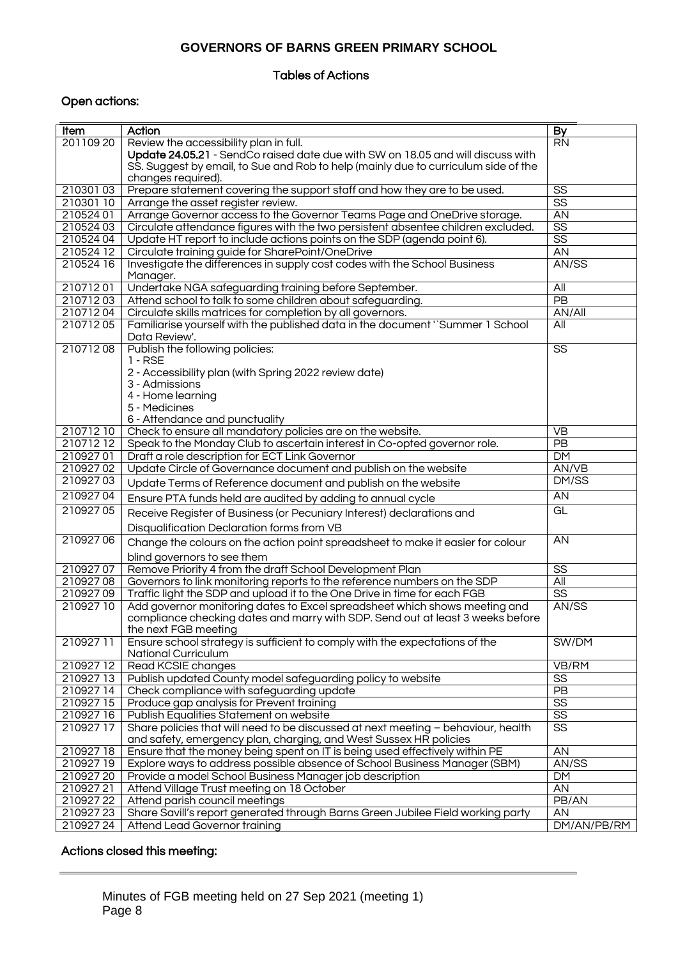#### Tables of Actions

## Open actions:

| <b>Item</b>          | Action                                                                                                 | By                     |
|----------------------|--------------------------------------------------------------------------------------------------------|------------------------|
| 20110920             | Review the accessibility plan in full.                                                                 | <b>RN</b>              |
|                      | Update 24.05.21 - SendCo raised date due with SW on 18.05 and will discuss with                        |                        |
|                      | SS. Suggest by email, to Sue and Rob to help (mainly due to curriculum side of the                     |                        |
|                      | changes required).                                                                                     |                        |
| 21030103             | Prepare statement covering the support staff and how they are to be used.                              | SS                     |
| 21030110             | Arrange the asset register review.                                                                     | $\overline{\text{SS}}$ |
| 21052401             | Arrange Governor access to the Governor Teams Page and OneDrive storage.                               | AN                     |
| 21052403             | Circulate attendance figures with the two persistent absentee children excluded.                       | $\overline{\text{SS}}$ |
| 21052404             | Update HT report to include actions points on the SDP (agenda point 6).                                | $\overline{\text{SS}}$ |
| 210524 12            | Circulate training guide for SharePoint/OneDrive                                                       | AN                     |
| 210524 16            | Investigate the differences in supply cost codes with the School Business<br>Manager.                  | AN/SS                  |
| 21071201             | Undertake NGA safeguarding training before September.                                                  | $\overline{All}$       |
| 21071203             | Attend school to talk to some children about safeguarding.                                             | $\overline{PB}$        |
| 21071204             | Circulate skills matrices for completion by all governors.                                             | $A\overline{N/AII}$    |
| 21071205             | Familiarise yourself with the published data in the document "Summer 1 School<br>Data Review'.         | $\overline{All}$       |
| 21071208             | Publish the following policies:                                                                        | $\overline{\text{SS}}$ |
|                      | $1 - RSE$                                                                                              |                        |
|                      | 2 - Accessibility plan (with Spring 2022 review date)                                                  |                        |
|                      | 3 - Admissions                                                                                         |                        |
|                      | 4 - Home learning                                                                                      |                        |
|                      | 5 - Medicines                                                                                          |                        |
|                      | 6 - Attendance and punctuality                                                                         |                        |
| 21071210             | Check to ensure all mandatory policies are on the website.                                             | <b>VB</b>              |
| 21071212             | Speak to the Monday Club to ascertain interest in Co-opted governor role.                              | PB                     |
| 21092701             | Draft a role description for ECT Link Governor                                                         | <b>DM</b>              |
| 21092702<br>21092703 | Update Circle of Governance document and publish on the website                                        | AN/VB<br>DM/SS         |
|                      | Update Terms of Reference document and publish on the website                                          |                        |
| 21092704             | Ensure PTA funds held are audited by adding to annual cycle                                            | AN                     |
| 21092705             | Receive Register of Business (or Pecuniary Interest) declarations and                                  | GL                     |
|                      | Disqualification Declaration forms from VB                                                             |                        |
| 21092706             | Change the colours on the action point spreadsheet to make it easier for colour                        | AN                     |
| 21092707             | blind governors to see them<br>Remove Priority 4 from the draft School Development Plan                | $\overline{\text{SS}}$ |
| 21092708             | Governors to link monitoring reports to the reference numbers on the SDP                               | All                    |
| 21092709             | Traffic light the SDP and upload it to the One Drive in time for each FGB                              | $\overline{\text{SS}}$ |
| 21092710             | Add governor monitoring dates to Excel spreadsheet which shows meeting and                             | AN/SS                  |
|                      | compliance checking dates and marry with SDP. Send out at least 3 weeks before<br>the next FGB meeting |                        |
| 21092711             | Ensure school strategy is sufficient to comply with the expectations of the<br>National Curriculum     | SW/DM                  |
| 21092712             | Read KCSIE changes                                                                                     | VB/RM                  |
| 21092713             | Publish updated County model safeguarding policy to website                                            | $\overline{\text{SS}}$ |
| 21092714             | Check compliance with safeguarding update                                                              | PB                     |
| 21092715             | Produce gap analysis for Prevent training                                                              | $\overline{\text{SS}}$ |
| 21092716             | Publish Equalities Statement on website                                                                | $\overline{\text{SS}}$ |
| 21092717             | Share policies that will need to be discussed at next meeting - behaviour, health                      | $\overline{\text{SS}}$ |
|                      | and safety, emergency plan, charging, and West Sussex HR policies                                      |                        |
| 21092718             | Ensure that the money being spent on IT is being used effectively within PE                            | AN                     |
| 210927 19            | Explore ways to address possible absence of School Business Manager (SBM)                              | AN/SS                  |
| 21092720             | Provide a model School Business Manager job description                                                | DM                     |
| 21092721             | Attend Village Trust meeting on 18 October                                                             | $\overline{AN}$        |
| 21092722             | Attend parish council meetings                                                                         | PB/AN                  |
| 21092723             | Share Savill's report generated through Barns Green Jubilee Field working party                        | AN                     |
| 21092724             | Attend Lead Governor training                                                                          | DM/AN/PB/RM            |

### Actions closed this meeting: